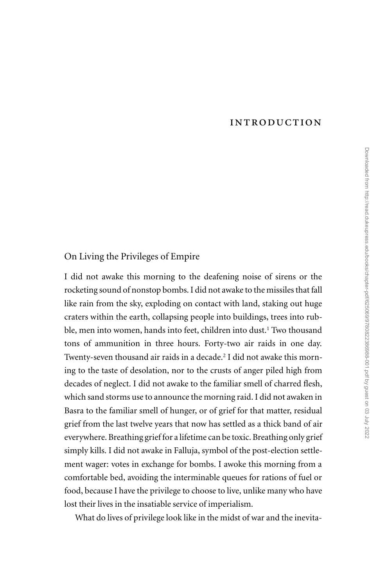#### introduction

### On Living the Privileges of Empire

I did not awake this morning to the deafening noise of sirens or the rocketing sound of nonstop bombs. I did not awake to the missiles that fall like rain from the sky, exploding on contact with land, staking out huge craters within the earth, collapsing people into buildings, trees into rubble, men into women, hands into feet, children into dust.<sup>1</sup> Two thousand tons of ammunition in three hours. Forty-two air raids in one day. Twenty-seven thousand air raids in a decade.<sup>2</sup> I did not awake this morning to the taste of desolation, nor to the crusts of anger piled high from decades of neglect. I did not awake to the familiar smell of charred flesh, which sand storms use to announce the morning raid. I did not awaken in Basra to the familiar smell of hunger, or of grief for that matter, residual grief from the last twelve years that now has settled as a thick band of air everywhere. Breathing grief for a lifetime can be toxic. Breathing only grief simply kills. I did not awake in Falluja, symbol of the post-election settlement wager: votes in exchange for bombs. I awoke this morning from a comfortable bed, avoiding the interminable queues for rations of fuel or food, because I have the privilege to choose to live, unlike many who have lost their lives in the insatiable service of imperialism.

What do lives of privilege look like in the midst of war and the inevita-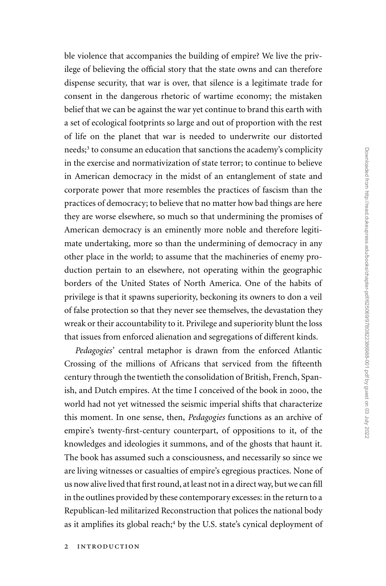ble violence that accompanies the building of empire? We live the privilege of believing the official story that the state owns and can therefore dispense security, that war is over, that silence is a legitimate trade for consent in the dangerous rhetoric of wartime economy; the mistaken belief that we can be against the war yet continue to brand this earth with a set of ecological footprints so large and out of proportion with the rest of life on the planet that war is needed to underwrite our distorted needs;<sup>3</sup> to consume an education that sanctions the academy's complicity in the exercise and normativization of state terror; to continue to believe in American democracy in the midst of an entanglement of state and corporate power that more resembles the practices of fascism than the practices of democracy; to believe that no matter how bad things are here they are worse elsewhere, so much so that undermining the promises of American democracy is an eminently more noble and therefore legitimate undertaking, more so than the undermining of democracy in any other place in the world; to assume that the machineries of enemy production pertain to an elsewhere, not operating within the geographic borders of the United States of North America. One of the habits of privilege is that it spawns superiority, beckoning its owners to don a veil of false protection so that they never see themselves, the devastation they wreak or their accountability to it. Privilege and superiority blunt the loss that issues from enforced alienation and segregations of different kinds.

*Pedagogies*' central metaphor is drawn from the enforced Atlantic Crossing of the millions of Africans that serviced from the fifteenth century through the twentieth the consolidation of British, French, Spanish, and Dutch empires. At the time I conceived of the book in 2000, the world had not yet witnessed the seismic imperial shifts that characterize this moment. In one sense, then, *Pedagogies* functions as an archive of empire's twenty-first-century counterpart, of oppositions to it, of the knowledges and ideologies it summons, and of the ghosts that haunt it. The book has assumed such a consciousness, and necessarily so since we are living witnesses or casualties of empire's egregious practices. None of us now alive lived that first round, at least not in a direct way, but we can fill in the outlines provided by these contemporary excesses: in the return to a Republican-led militarized Reconstruction that polices the national body as it amplifies its global reach;<sup>4</sup> by the U.S. state's cynical deployment of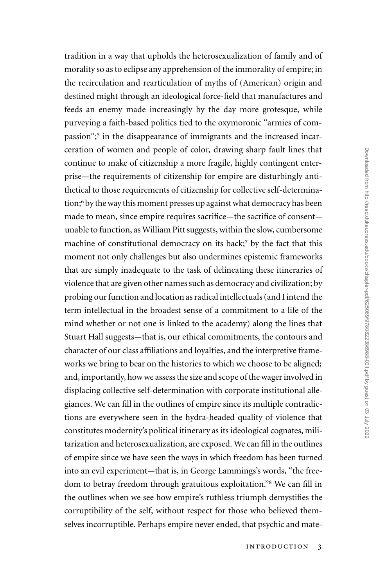tradition in a way that upholds the heterosexualization of family and of morality so as to eclipse any apprehension of the immorality of empire; in the recirculation and rearticulation of myths of (American) origin and destined might through an ideological force-field that manufactures and feeds an enemy made increasingly by the day more grotesque, while purveying a faith-based politics tied to the oxymoronic ''armies of compassion";<sup>5</sup> in the disappearance of immigrants and the increased incarceration of women and people of color, drawing sharp fault lines that continue to make of citizenship a more fragile, highly contingent enterprise—the requirements of citizenship for empire are disturbingly antithetical to those requirements of citizenship for collective self-determination;<sup>6</sup> by the way this moment presses up against what democracy has been made to mean, since empire requires sacrifice—the sacrifice of consent unable to function, as William Pitt suggests, within the slow, cumbersome machine of constitutional democracy on its back;<sup>7</sup> by the fact that this moment not only challenges but also undermines epistemic frameworks that are simply inadequate to the task of delineating these itineraries of violence that are given other names such as democracy and civilization; by probing our function and location as radical intellectuals (and I intend the term intellectual in the broadest sense of a commitment to a life of the mind whether or not one is linked to the academy) along the lines that Stuart Hall suggests—that is, our ethical commitments, the contours and character of our class affiliations and loyalties, and the interpretive frameworks we bring to bear on the histories to which we choose to be aligned; and, importantly, how we assess the size and scope of the wager involved in displacing collective self-determination with corporate institutional allegiances. We can fill in the outlines of empire since its multiple contradictions are everywhere seen in the hydra-headed quality of violence that constitutes modernity's political itinerary as its ideological cognates, militarization and heterosexualization, are exposed. We can fill in the outlines of empire since we have seen the ways in which freedom has been turned into an evil experiment—that is, in George Lammings's words, ''the freedom to betray freedom through gratuitous exploitation."<sup>8</sup> We can fill in the outlines when we see how empire's ruthless triumph demystifies the corruptibility of the self, without respect for those who believed themselves incorruptible. Perhaps empire never ended, that psychic and mate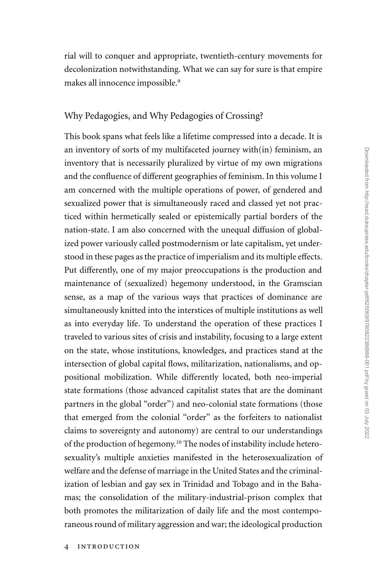rial will to conquer and appropriate, twentieth-century movements for decolonization notwithstanding. What we can say for sure is that empire makes all innocence impossible.<sup>9</sup>

# Why Pedagogies, and Why Pedagogies of Crossing?

This book spans what feels like a lifetime compressed into a decade. It is an inventory of sorts of my multifaceted journey with(in) feminism, an inventory that is necessarily pluralized by virtue of my own migrations and the confluence of different geographies of feminism. In this volume I am concerned with the multiple operations of power, of gendered and sexualized power that is simultaneously raced and classed yet not practiced within hermetically sealed or epistemically partial borders of the nation-state. I am also concerned with the unequal diffusion of globalized power variously called postmodernism or late capitalism, yet understood in these pages as the practice of imperialism and its multiple effects. Put differently, one of my major preoccupations is the production and maintenance of (sexualized) hegemony understood, in the Gramscian sense, as a map of the various ways that practices of dominance are simultaneously knitted into the interstices of multiple institutions as well as into everyday life. To understand the operation of these practices I traveled to various sites of crisis and instability, focusing to a large extent on the state, whose institutions, knowledges, and practices stand at the intersection of global capital flows, militarization, nationalisms, and oppositional mobilization. While differently located, both neo-imperial state formations (those advanced capitalist states that are the dominant partners in the global "order") and neo-colonial state formations (those that emerged from the colonial ''order'' as the forfeiters to nationalist claims to sovereignty and autonomy) are central to our understandings of the production of hegemony.<sup>10</sup> The nodes of instability include heterosexuality's multiple anxieties manifested in the heterosexualization of welfare and the defense of marriage in the United States and the criminalization of lesbian and gay sex in Trinidad and Tobago and in the Bahamas; the consolidation of the military-industrial-prison complex that both promotes the militarization of daily life and the most contemporaneous round of military aggression and war; the ideological production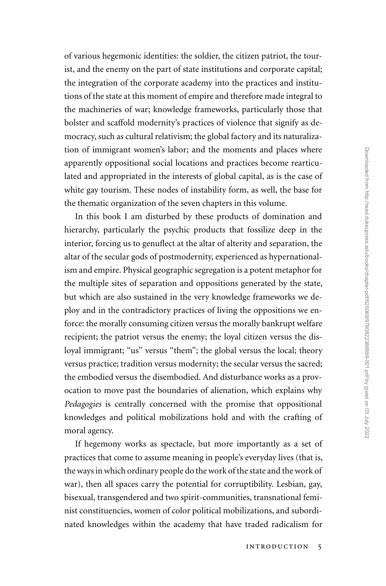of various hegemonic identities: the soldier, the citizen patriot, the tourist, and the enemy on the part of state institutions and corporate capital; the integration of the corporate academy into the practices and institutions of the state at this moment of empire and therefore made integral to the machineries of war; knowledge frameworks, particularly those that bolster and scaffold modernity's practices of violence that signify as democracy, such as cultural relativism; the global factory and its naturalization of immigrant women's labor; and the moments and places where apparently oppositional social locations and practices become rearticulated and appropriated in the interests of global capital, as is the case of white gay tourism. These nodes of instability form, as well, the base for the thematic organization of the seven chapters in this volume.

In this book I am disturbed by these products of domination and hierarchy, particularly the psychic products that fossilize deep in the interior, forcing us to genuflect at the altar of alterity and separation, the altar of the secular gods of postmodernity, experienced as hypernationalism and empire. Physical geographic segregation is a potent metaphor for the multiple sites of separation and oppositions generated by the state, but which are also sustained in the very knowledge frameworks we deploy and in the contradictory practices of living the oppositions we enforce: the morally consuming citizen versus the morally bankrupt welfare recipient; the patriot versus the enemy; the loyal citizen versus the disloyal immigrant; "us" versus "them"; the global versus the local; theory versus practice; tradition versus modernity; the secular versus the sacred; the embodied versus the disembodied. And disturbance works as a provocation to move past the boundaries of alienation, which explains why *Pedagogies* is centrally concerned with the promise that oppositional knowledges and political mobilizations hold and with the crafting of moral agency.

If hegemony works as spectacle, but more importantly as a set of practices that come to assume meaning in people's everyday lives (that is, the ways in which ordinary people do the work of the state and the work of war), then all spaces carry the potential for corruptibility. Lesbian, gay, bisexual, transgendered and two spirit-communities, transnational feminist constituencies, women of color political mobilizations, and subordinated knowledges within the academy that have traded radicalism for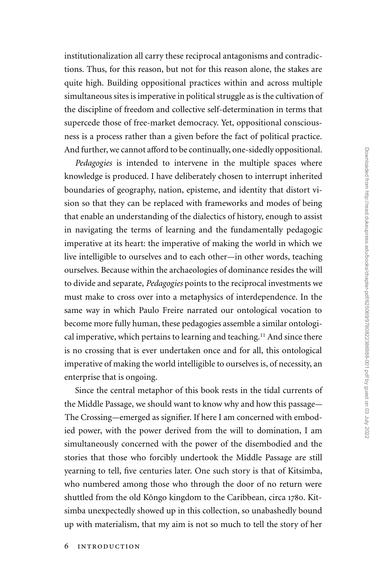institutionalization all carry these reciprocal antagonisms and contradictions. Thus, for this reason, but not for this reason alone, the stakes are quite high. Building oppositional practices within and across multiple simultaneous sites is imperative in political struggle as is the cultivation of the discipline of freedom and collective self-determination in terms that supercede those of free-market democracy. Yet, oppositional consciousness is a process rather than a given before the fact of political practice. And further, we cannot afford to be continually, one-sidedly oppositional.

*Pedagogies* is intended to intervene in the multiple spaces where knowledge is produced. I have deliberately chosen to interrupt inherited boundaries of geography, nation, episteme, and identity that distort vision so that they can be replaced with frameworks and modes of being that enable an understanding of the dialectics of history, enough to assist in navigating the terms of learning and the fundamentally pedagogic imperative at its heart: the imperative of making the world in which we live intelligible to ourselves and to each other—in other words, teaching ourselves. Because within the archaeologies of dominance resides the will to divide and separate, *Pedagogies* points to the reciprocal investments we must make to cross over into a metaphysics of interdependence. In the same way in which Paulo Freire narrated our ontological vocation to become more fully human, these pedagogies assemble a similar ontological imperative, which pertains to learning and teaching.<sup>11</sup> And since there is no crossing that is ever undertaken once and for all, this ontological imperative of making the world intelligible to ourselves is, of necessity, an enterprise that is ongoing.

Since the central metaphor of this book rests in the tidal currents of the Middle Passage, we should want to know why and how this passage— The Crossing—emerged as signifier. If here I am concerned with embodied power, with the power derived from the will to domination, I am simultaneously concerned with the power of the disembodied and the stories that those who forcibly undertook the Middle Passage are still yearning to tell, five centuries later. One such story is that of Kitsimba, who numbered among those who through the door of no return were shuttled from the old Kôngo kingdom to the Caribbean, circa 1780. Kitsimba unexpectedly showed up in this collection, so unabashedly bound up with materialism, that my aim is not so much to tell the story of her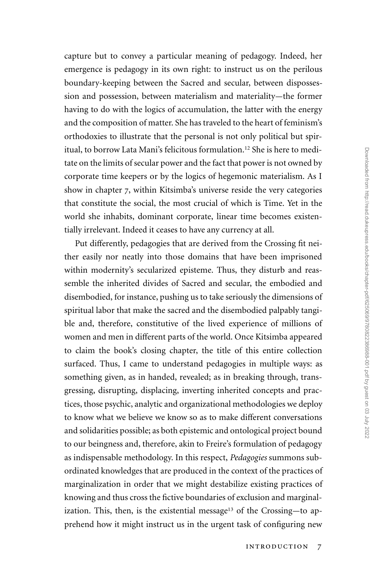capture but to convey a particular meaning of pedagogy. Indeed, her emergence is pedagogy in its own right: to instruct us on the perilous boundary-keeping between the Sacred and secular, between dispossession and possession, between materialism and materiality—the former having to do with the logics of accumulation, the latter with the energy and the composition of matter. She has traveled to the heart of feminism's orthodoxies to illustrate that the personal is not only political but spiritual, to borrow Lata Mani's felicitous formulation.<sup>12</sup> She is here to meditate on the limits of secular power and the fact that power is not owned by corporate time keepers or by the logics of hegemonic materialism. As I show in chapter 7, within Kitsimba's universe reside the very categories that constitute the social, the most crucial of which is Time. Yet in the world she inhabits, dominant corporate, linear time becomes existentially irrelevant. Indeed it ceases to have any currency at all.

Put differently, pedagogies that are derived from the Crossing fit neither easily nor neatly into those domains that have been imprisoned within modernity's secularized episteme. Thus, they disturb and reassemble the inherited divides of Sacred and secular, the embodied and disembodied, for instance, pushing us to take seriously the dimensions of spiritual labor that make the sacred and the disembodied palpably tangible and, therefore, constitutive of the lived experience of millions of women and men in different parts of the world. Once Kitsimba appeared to claim the book's closing chapter, the title of this entire collection surfaced. Thus, I came to understand pedagogies in multiple ways: as something given, as in handed, revealed; as in breaking through, transgressing, disrupting, displacing, inverting inherited concepts and practices, those psychic, analytic and organizational methodologies we deploy to know what we believe we know so as to make different conversations and solidarities possible; as both epistemic and ontological project bound to our beingness and, therefore, akin to Freire's formulation of pedagogy as indispensable methodology. In this respect, *Pedagogies* summons subordinated knowledges that are produced in the context of the practices of marginalization in order that we might destabilize existing practices of knowing and thus cross the fictive boundaries of exclusion and marginalization. This, then, is the existential message<sup>13</sup> of the Crossing—to apprehend how it might instruct us in the urgent task of configuring new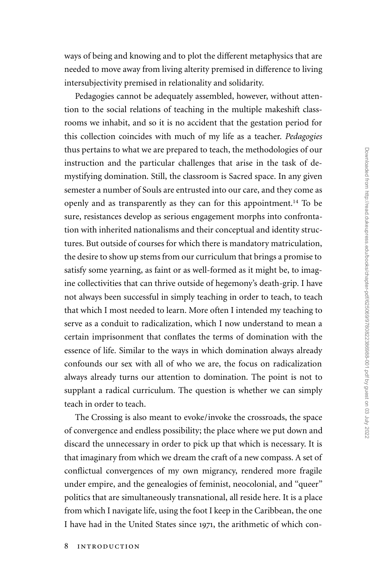ways of being and knowing and to plot the different metaphysics that are needed to move away from living alterity premised in difference to living intersubjectivity premised in relationality and solidarity.

Pedagogies cannot be adequately assembled, however, without attention to the social relations of teaching in the multiple makeshift classrooms we inhabit, and so it is no accident that the gestation period for this collection coincides with much of my life as a teacher. *Pedagogies* thus pertains to what we are prepared to teach, the methodologies of our instruction and the particular challenges that arise in the task of demystifying domination. Still, the classroom is Sacred space. In any given semester a number of Souls are entrusted into our care, and they come as openly and as transparently as they can for this appointment.<sup>14</sup> To be sure, resistances develop as serious engagement morphs into confrontation with inherited nationalisms and their conceptual and identity structures. But outside of courses for which there is mandatory matriculation, the desire to show up stems from our curriculum that brings a promise to satisfy some yearning, as faint or as well-formed as it might be, to imagine collectivities that can thrive outside of hegemony's death-grip. I have not always been successful in simply teaching in order to teach, to teach that which I most needed to learn. More often I intended my teaching to serve as a conduit to radicalization, which I now understand to mean a certain imprisonment that conflates the terms of domination with the essence of life. Similar to the ways in which domination always already confounds our sex with all of who we are, the focus on radicalization always already turns our attention to domination. The point is not to supplant a radical curriculum. The question is whether we can simply teach in order to teach.

The Crossing is also meant to evoke/invoke the crossroads, the space of convergence and endless possibility; the place where we put down and discard the unnecessary in order to pick up that which is necessary. It is that imaginary from which we dream the craft of a new compass. A set of conflictual convergences of my own migrancy, rendered more fragile under empire, and the genealogies of feminist, neocolonial, and ''queer'' politics that are simultaneously transnational, all reside here. It is a place from which I navigate life, using the foot I keep in the Caribbean, the one I have had in the United States since 1971, the arithmetic of which con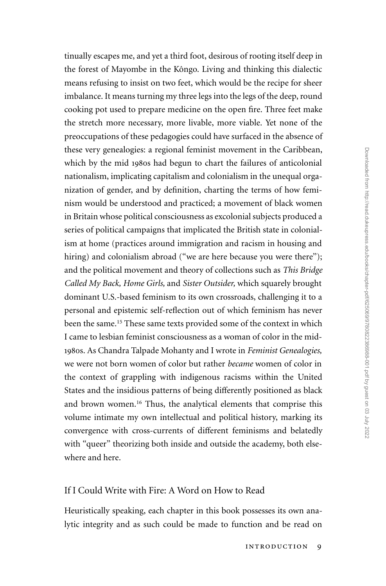tinually escapes me, and yet a third foot, desirous of rooting itself deep in the forest of Mayombe in the Kôngo. Living and thinking this dialectic means refusing to insist on two feet, which would be the recipe for sheer imbalance. It means turning my three legs into the legs of the deep, round cooking pot used to prepare medicine on the open fire. Three feet make the stretch more necessary, more livable, more viable. Yet none of the preoccupations of these pedagogies could have surfaced in the absence of these very genealogies: a regional feminist movement in the Caribbean, which by the mid 1980s had begun to chart the failures of anticolonial nationalism, implicating capitalism and colonialism in the unequal organization of gender, and by definition, charting the terms of how feminism would be understood and practiced; a movement of black women in Britain whose political consciousness as excolonial subjects produced a series of political campaigns that implicated the British state in colonialism at home (practices around immigration and racism in housing and hiring) and colonialism abroad ("we are here because you were there"); and the political movement and theory of collections such as *This Bridge Called My Back, Home Girls,* and *Sister Outsider,* which squarely brought dominant U.S.-based feminism to its own crossroads, challenging it to a personal and epistemic self-reflection out of which feminism has never been the same.<sup>15</sup> These same texts provided some of the context in which I came to lesbian feminist consciousness as a woman of color in the mid-1980s. As Chandra Talpade Mohanty and I wrote in *Feminist Genealogies,* we were not born women of color but rather *became* women of color in the context of grappling with indigenous racisms within the United States and the insidious patterns of being differently positioned as black and brown women.<sup>16</sup> Thus, the analytical elements that comprise this volume intimate my own intellectual and political history, marking its convergence with cross-currents of different feminisms and belatedly with "queer" theorizing both inside and outside the academy, both elsewhere and here.

## If I Could Write with Fire: A Word on How to Read

Heuristically speaking, each chapter in this book possesses its own analytic integrity and as such could be made to function and be read on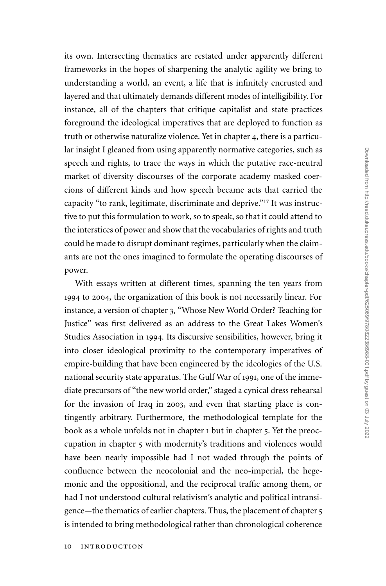its own. Intersecting thematics are restated under apparently different frameworks in the hopes of sharpening the analytic agility we bring to understanding a world, an event, a life that is infinitely encrusted and layered and that ultimately demands different modes of intelligibility. For instance, all of the chapters that critique capitalist and state practices foreground the ideological imperatives that are deployed to function as truth or otherwise naturalize violence. Yet in chapter 4, there is a particular insight I gleaned from using apparently normative categories, such as speech and rights, to trace the ways in which the putative race-neutral market of diversity discourses of the corporate academy masked coercions of different kinds and how speech became acts that carried the capacity "to rank, legitimate, discriminate and deprive."<sup>17</sup> It was instructive to put this formulation to work, so to speak, so that it could attend to the interstices of power and show that the vocabularies of rights and truth could be made to disrupt dominant regimes, particularly when the claimants are not the ones imagined to formulate the operating discourses of power.

With essays written at different times, spanning the ten years from 1994 to 2004, the organization of this book is not necessarily linear. For instance, a version of chapter 3, ''Whose New World Order? Teaching for Justice'' was first delivered as an address to the Great Lakes Women's Studies Association in 1994. Its discursive sensibilities, however, bring it into closer ideological proximity to the contemporary imperatives of empire-building that have been engineered by the ideologies of the U.S. national security state apparatus. The Gulf War of 1991, one of the immediate precursors of ''the new world order,'' staged a cynical dress rehearsal for the invasion of Iraq in 2003, and even that starting place is contingently arbitrary. Furthermore, the methodological template for the book as a whole unfolds not in chapter 1 but in chapter 5. Yet the preoccupation in chapter 5 with modernity's traditions and violences would have been nearly impossible had I not waded through the points of confluence between the neocolonial and the neo-imperial, the hegemonic and the oppositional, and the reciprocal traffic among them, or had I not understood cultural relativism's analytic and political intransigence—the thematics of earlier chapters. Thus, the placement of chapter 5 is intended to bring methodological rather than chronological coherence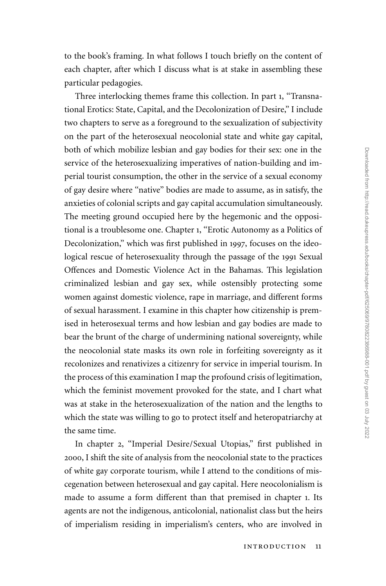to the book's framing. In what follows I touch briefly on the content of each chapter, after which I discuss what is at stake in assembling these particular pedagogies.

Three interlocking themes frame this collection. In part 1, ''Transnational Erotics: State, Capital, and the Decolonization of Desire,'' I include two chapters to serve as a foreground to the sexualization of subjectivity on the part of the heterosexual neocolonial state and white gay capital, both of which mobilize lesbian and gay bodies for their sex: one in the service of the heterosexualizing imperatives of nation-building and imperial tourist consumption, the other in the service of a sexual economy of gay desire where ''native'' bodies are made to assume, as in satisfy, the anxieties of colonial scripts and gay capital accumulation simultaneously. The meeting ground occupied here by the hegemonic and the oppositional is a troublesome one. Chapter 1, ''Erotic Autonomy as a Politics of Decolonization,'' which was first published in 1997, focuses on the ideological rescue of heterosexuality through the passage of the 1991 Sexual Offences and Domestic Violence Act in the Bahamas. This legislation criminalized lesbian and gay sex, while ostensibly protecting some women against domestic violence, rape in marriage, and different forms of sexual harassment. I examine in this chapter how citizenship is premised in heterosexual terms and how lesbian and gay bodies are made to bear the brunt of the charge of undermining national sovereignty, while the neocolonial state masks its own role in forfeiting sovereignty as it recolonizes and renativizes a citizenry for service in imperial tourism. In the process of this examination I map the profound crisis of legitimation, which the feminist movement provoked for the state, and I chart what was at stake in the heterosexualization of the nation and the lengths to which the state was willing to go to protect itself and heteropatriarchy at the same time.

In chapter 2, "Imperial Desire/Sexual Utopias," first published in 2000, I shift the site of analysis from the neocolonial state to the practices of white gay corporate tourism, while I attend to the conditions of miscegenation between heterosexual and gay capital. Here neocolonialism is made to assume a form different than that premised in chapter 1. Its agents are not the indigenous, anticolonial, nationalist class but the heirs of imperialism residing in imperialism's centers, who are involved in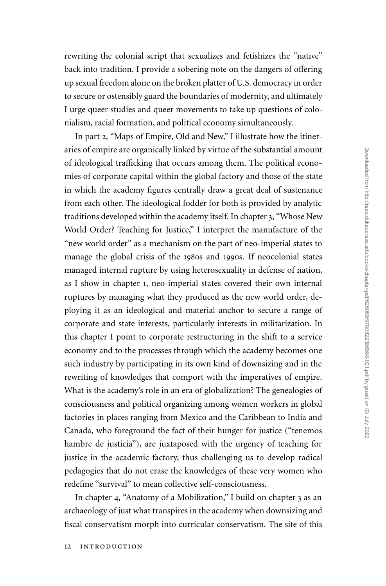rewriting the colonial script that sexualizes and fetishizes the ''native'' back into tradition. I provide a sobering note on the dangers of offering up sexual freedom alone on the broken platter of U.S. democracy in order to secure or ostensibly guard the boundaries of modernity, and ultimately I urge queer studies and queer movements to take up questions of colonialism, racial formation, and political economy simultaneously.

In part 2, ''Maps of Empire, Old and New,'' I illustrate how the itineraries of empire are organically linked by virtue of the substantial amount of ideological trafficking that occurs among them. The political economies of corporate capital within the global factory and those of the state in which the academy figures centrally draw a great deal of sustenance from each other. The ideological fodder for both is provided by analytic traditions developed within the academy itself. In chapter 3, ''Whose New World Order? Teaching for Justice,'' I interpret the manufacture of the "new world order" as a mechanism on the part of neo-imperial states to manage the global crisis of the 1980s and 1990s. If neocolonial states managed internal rupture by using heterosexuality in defense of nation, as I show in chapter 1, neo-imperial states covered their own internal ruptures by managing what they produced as the new world order, deploying it as an ideological and material anchor to secure a range of corporate and state interests, particularly interests in militarization. In this chapter I point to corporate restructuring in the shift to a service economy and to the processes through which the academy becomes one such industry by participating in its own kind of downsizing and in the rewriting of knowledges that comport with the imperatives of empire. What is the academy's role in an era of globalization? The genealogies of consciousness and political organizing among women workers in global factories in places ranging from Mexico and the Caribbean to India and Canada, who foreground the fact of their hunger for justice (''tenemos hambre de justicia''), are juxtaposed with the urgency of teaching for justice in the academic factory, thus challenging us to develop radical pedagogies that do not erase the knowledges of these very women who redefine ''survival'' to mean collective self-consciousness.

In chapter 4, ''Anatomy of a Mobilization,'' I build on chapter 3 as an archaeology of just what transpires in the academy when downsizing and fiscal conservatism morph into curricular conservatism. The site of this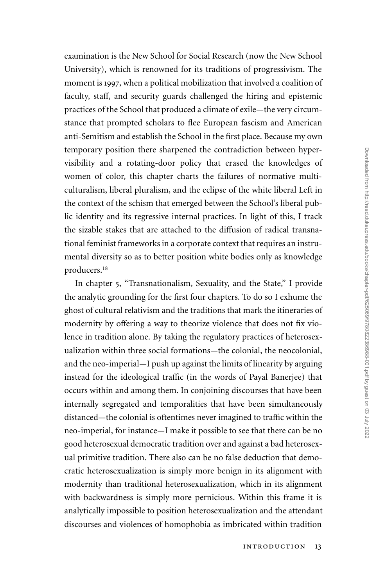examination is the New School for Social Research (now the New School University), which is renowned for its traditions of progressivism. The moment is 1997, when a political mobilization that involved a coalition of faculty, staff, and security guards challenged the hiring and epistemic practices of the School that produced a climate of exile—the very circumstance that prompted scholars to flee European fascism and American anti-Semitism and establish the School in the first place. Because my own temporary position there sharpened the contradiction between hypervisibility and a rotating-door policy that erased the knowledges of women of color, this chapter charts the failures of normative multiculturalism, liberal pluralism, and the eclipse of the white liberal Left in the context of the schism that emerged between the School's liberal public identity and its regressive internal practices. In light of this, I track the sizable stakes that are attached to the diffusion of radical transnational feminist frameworks in a corporate context that requires an instrumental diversity so as to better position white bodies only as knowledge producers.<sup>18</sup>

In chapter 5, ''Transnationalism, Sexuality, and the State,'' I provide the analytic grounding for the first four chapters. To do so I exhume the ghost of cultural relativism and the traditions that mark the itineraries of modernity by offering a way to theorize violence that does not fix violence in tradition alone. By taking the regulatory practices of heterosexualization within three social formations—the colonial, the neocolonial, and the neo-imperial—I push up against the limits of linearity by arguing instead for the ideological traffic (in the words of Payal Banerjee) that occurs within and among them. In conjoining discourses that have been internally segregated and temporalities that have been simultaneously distanced—the colonial is oftentimes never imagined to traffic within the neo-imperial, for instance—I make it possible to see that there can be no good heterosexual democratic tradition over and against a bad heterosexual primitive tradition. There also can be no false deduction that democratic heterosexualization is simply more benign in its alignment with modernity than traditional heterosexualization, which in its alignment with backwardness is simply more pernicious. Within this frame it is analytically impossible to position heterosexualization and the attendant discourses and violences of homophobia as imbricated within tradition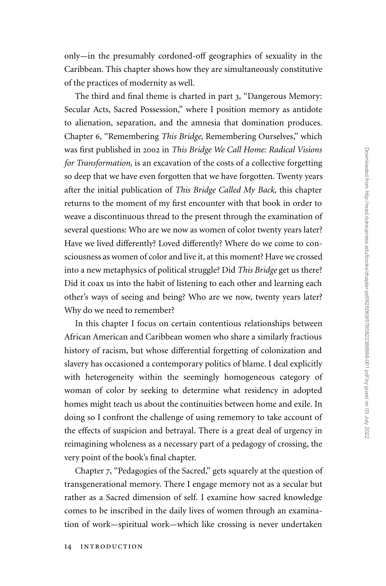only—in the presumably cordoned-off geographies of sexuality in the Caribbean. This chapter shows how they are simultaneously constitutive of the practices of modernity as well.

The third and final theme is charted in part 3, "Dangerous Memory: Secular Acts, Sacred Possession,'' where I position memory as antidote to alienation, separation, and the amnesia that domination produces. Chapter 6, ''Remembering *This Bridge,* Remembering Ourselves,'' which was first published in 2002 in *This Bridge We Call Home: Radical Visions for Transformation,* is an excavation of the costs of a collective forgetting so deep that we have even forgotten that we have forgotten. Twenty years after the initial publication of *This Bridge Called My Back,* this chapter returns to the moment of my first encounter with that book in order to weave a discontinuous thread to the present through the examination of several questions: Who are we now as women of color twenty years later? Have we lived differently? Loved differently? Where do we come to consciousness as women of color and live it, at this moment? Have we crossed into a new metaphysics of political struggle? Did *This Bridge* get us there? Did it coax us into the habit of listening to each other and learning each other's ways of seeing and being? Who are we now, twenty years later? Why do we need to remember?

In this chapter I focus on certain contentious relationships between African American and Caribbean women who share a similarly fractious history of racism, but whose differential forgetting of colonization and slavery has occasioned a contemporary politics of blame. I deal explicitly with heterogeneity within the seemingly homogeneous category of woman of color by seeking to determine what residency in adopted homes might teach us about the continuities between home and exile. In doing so I confront the challenge of using rememory to take account of the effects of suspicion and betrayal. There is a great deal of urgency in reimagining wholeness as a necessary part of a pedagogy of crossing, the very point of the book's final chapter.

Chapter 7, "Pedagogies of the Sacred," gets squarely at the question of transgenerational memory. There I engage memory not as a secular but rather as a Sacred dimension of self. I examine how sacred knowledge comes to be inscribed in the daily lives of women through an examination of work—spiritual work—which like crossing is never undertaken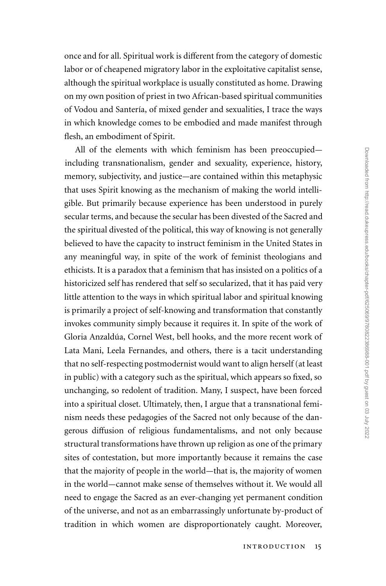once and for all. Spiritual work is different from the category of domestic labor or of cheapened migratory labor in the exploitative capitalist sense, although the spiritual workplace is usually constituted as home. Drawing on my own position of priest in two African-based spiritual communities of Vodou and Santería, of mixed gender and sexualities, I trace the ways in which knowledge comes to be embodied and made manifest through flesh, an embodiment of Spirit.

All of the elements with which feminism has been preoccupied including transnationalism, gender and sexuality, experience, history, memory, subjectivity, and justice—are contained within this metaphysic that uses Spirit knowing as the mechanism of making the world intelligible. But primarily because experience has been understood in purely secular terms, and because the secular has been divested of the Sacred and the spiritual divested of the political, this way of knowing is not generally believed to have the capacity to instruct feminism in the United States in any meaningful way, in spite of the work of feminist theologians and ethicists. It is a paradox that a feminism that has insisted on a politics of a historicized self has rendered that self so secularized, that it has paid very little attention to the ways in which spiritual labor and spiritual knowing is primarily a project of self-knowing and transformation that constantly invokes community simply because it requires it. In spite of the work of Gloria Anzaldúa, Cornel West, bell hooks, and the more recent work of Lata Mani, Leela Fernandes, and others, there is a tacit understanding that no self-respecting postmodernist would want to align herself (at least in public) with a category such as the spiritual, which appears so fixed, so unchanging, so redolent of tradition. Many, I suspect, have been forced into a spiritual closet. Ultimately, then, I argue that a transnational feminism needs these pedagogies of the Sacred not only because of the dangerous diffusion of religious fundamentalisms, and not only because structural transformations have thrown up religion as one of the primary sites of contestation, but more importantly because it remains the case that the majority of people in the world—that is, the majority of women in the world—cannot make sense of themselves without it. We would all need to engage the Sacred as an ever-changing yet permanent condition of the universe, and not as an embarrassingly unfortunate by-product of tradition in which women are disproportionately caught. Moreover,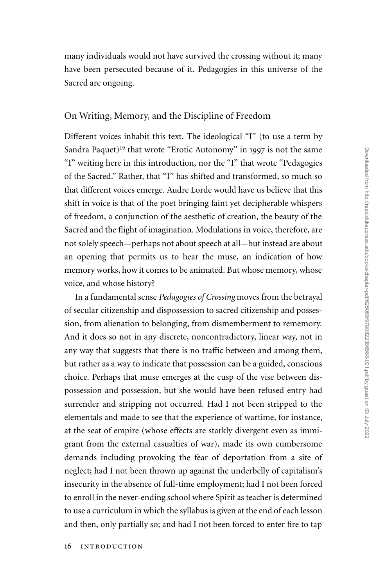many individuals would not have survived the crossing without it; many have been persecuted because of it. Pedagogies in this universe of the Sacred are ongoing.

## On Writing, Memory, and the Discipline of Freedom

Different voices inhabit this text. The ideological "I" (to use a term by Sandra Paquet)<sup>19</sup> that wrote "Erotic Autonomy" in 1997 is not the same "I" writing here in this introduction, nor the "I" that wrote "Pedagogies" of the Sacred.'' Rather, that ''I'' has shifted and transformed, so much so that different voices emerge. Audre Lorde would have us believe that this shift in voice is that of the poet bringing faint yet decipherable whispers of freedom, a conjunction of the aesthetic of creation, the beauty of the Sacred and the flight of imagination. Modulations in voice, therefore, are not solely speech—perhaps not about speech at all—but instead are about an opening that permits us to hear the muse, an indication of how memory works, how it comes to be animated. But whose memory, whose voice, and whose history?

In a fundamental sense *Pedagogies of Crossing* moves from the betrayal of secular citizenship and dispossession to sacred citizenship and possession, from alienation to belonging, from dismemberment to rememory. And it does so not in any discrete, noncontradictory, linear way, not in any way that suggests that there is no traffic between and among them, but rather as a way to indicate that possession can be a guided, conscious choice. Perhaps that muse emerges at the cusp of the vise between dispossession and possession, but she would have been refused entry had surrender and stripping not occurred. Had I not been stripped to the elementals and made to see that the experience of wartime, for instance, at the seat of empire (whose effects are starkly divergent even as immigrant from the external casualties of war), made its own cumbersome demands including provoking the fear of deportation from a site of neglect; had I not been thrown up against the underbelly of capitalism's insecurity in the absence of full-time employment; had I not been forced to enroll in the never-ending school where Spirit as teacher is determined to use a curriculum in which the syllabus is given at the end of each lesson and then, only partially so; and had I not been forced to enter fire to tap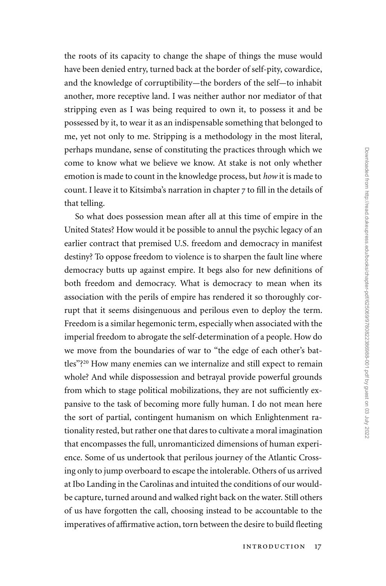the roots of its capacity to change the shape of things the muse would have been denied entry, turned back at the border of self-pity, cowardice, and the knowledge of corruptibility—the borders of the self—to inhabit another, more receptive land. I was neither author nor mediator of that stripping even as I was being required to own it, to possess it and be possessed by it, to wear it as an indispensable something that belonged to me, yet not only to me. Stripping is a methodology in the most literal, perhaps mundane, sense of constituting the practices through which we come to know what we believe we know. At stake is not only whether emotion is made to count in the knowledge process, but *how* it is made to count. I leave it to Kitsimba's narration in chapter 7 to fill in the details of that telling.

So what does possession mean after all at this time of empire in the United States? How would it be possible to annul the psychic legacy of an earlier contract that premised U.S. freedom and democracy in manifest destiny? To oppose freedom to violence is to sharpen the fault line where democracy butts up against empire. It begs also for new definitions of both freedom and democracy. What is democracy to mean when its association with the perils of empire has rendered it so thoroughly corrupt that it seems disingenuous and perilous even to deploy the term. Freedom is a similar hegemonic term, especially when associated with the imperial freedom to abrogate the self-determination of a people. How do we move from the boundaries of war to "the edge of each other's battles"?<sup>20</sup> How many enemies can we internalize and still expect to remain whole? And while dispossession and betrayal provide powerful grounds from which to stage political mobilizations, they are not sufficiently expansive to the task of becoming more fully human. I do not mean here the sort of partial, contingent humanism on which Enlightenment rationality rested, but rather one that dares to cultivate a moral imagination that encompasses the full, unromanticized dimensions of human experience. Some of us undertook that perilous journey of the Atlantic Crossing only to jump overboard to escape the intolerable. Others of us arrived at Ibo Landing in the Carolinas and intuited the conditions of our wouldbe capture, turned around and walked right back on the water. Still others of us have forgotten the call, choosing instead to be accountable to the imperatives of affirmative action, torn between the desire to build fleeting